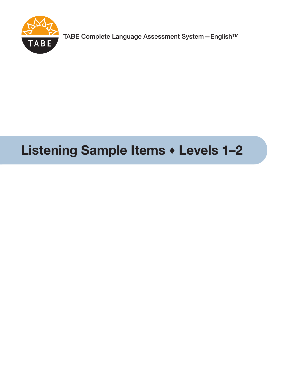

TABE Complete Language Assessment System—English™

# **Listening Sample Items Levels 1–2**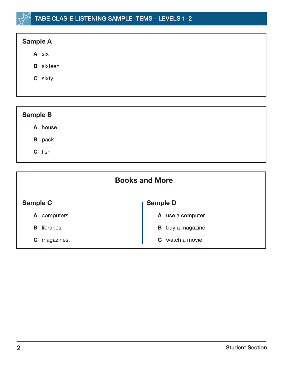## TABE CLAS-E LISTENING SAMPLE ITEMS—LEVELS 1–2



| <b>Sample B</b> |  |
|-----------------|--|
| A house         |  |
| <b>B</b> pack   |  |
| C fish          |  |
|                 |  |

| Sample C<br><b>Sample D</b> |                |
|-----------------------------|----------------|
| computers.                  | use a computer |
| A                           | A              |
| libraries.                  | buy a magazine |
| в                           | B              |
| magazines.                  | watch a movie  |
| C                           | C.             |

**Books and More**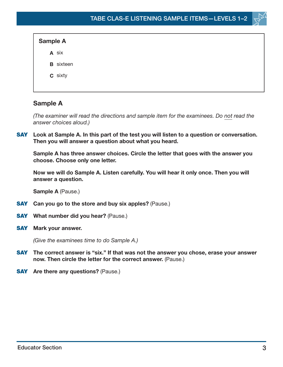| <b>Sample A</b>  |  |
|------------------|--|
| A six            |  |
| <b>B</b> sixteen |  |
| C sixty          |  |
|                  |  |

## **Sample A**

(The examiner will read the directions and sample item for the examinees. Do not read the answer choices aloud.)

**SAY Look at Sample A. In this part of the test you will listen to a question or conversation. Then you will answer a question about what you heard.**

**Sample A has three answer choices. Circle the letter that goes with the answer you choose. Choose only one letter.**

**Now we will do Sample A. Listen carefully. You will hear it only once. Then you will answer a question.**

**Sample A** (Pause.)

- **SAY Can you go to the store and buy six apples?** (Pause.)
- **SAY What number did you hear?** (Pause.)
- **SAY Mark your answer.**

(Give the examinees time to do Sample A.)

- **SAY** The correct answer is "six." If that was not the answer you chose, erase your answer **now. Then circle the letter for the correct answer.** (Pause.)
- **SAY Are there any questions?** (Pause.)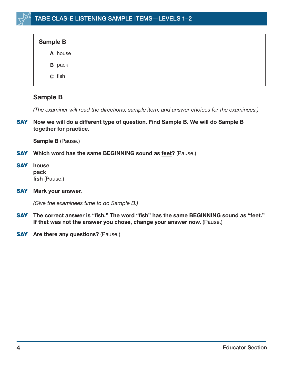| <b>Sample B</b> |  |
|-----------------|--|
| A house         |  |
| <b>B</b> pack   |  |
| C fish          |  |

## **Sample B**

(The examiner will read the directions, sample item, and answer choices for the examinees.)

**SAY Now we will do a different type of question. Find Sample B. We will do Sample B together for practice.**

**Sample B** (Pause.)

- **SAY Which word has the same BEGINNING sound as feet?** (Pause.)
- **SAY house pack fish** (Pause.)
- **SAY Mark your answer.**

(Give the examinees time to do Sample B.)

- **SAY The correct answer is "fish." The word "fish" has the same BEGINNING sound as "feet." If that was not the answer you chose, change your answer now.** (Pause.)
- **SAY Are there any questions?** (Pause.)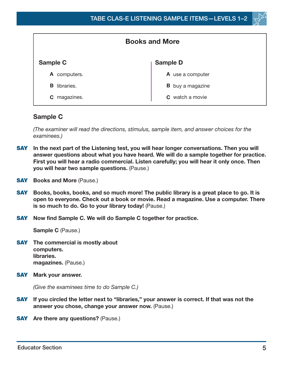

| <b>Books and More</b> |                         |  |
|-----------------------|-------------------------|--|
| Sample C              | <b>Sample D</b>         |  |
| A computers.          | A use a computer        |  |
| libraries.<br>в       | <b>B</b> buy a magazine |  |
| magazines.<br>С       | <b>C</b> watch a movie  |  |

## **Sample C**

(The examiner will read the directions, stimulus, sample item, and answer choices for the examinees.)

- **SAY In the next part of the Listening test, you will hear longer conversations. Then you will answer questions about what you have heard. We will do a sample together for practice. First you will hear a radio commercial. Listen carefully; you will hear it only once. Then you will hear two sample questions.** (Pause.)
- **SAY** Books and More (Pause.)
- **SAY Books, books, books, and so much more! The public library is a great place to go. It is open to everyone. Check out a book or movie. Read a magazine. Use a computer. There is so much to do. Go to your library today!** (Pause.)
- **SAY Now find Sample C. We will do Sample C together for practice.**

**Sample C** (Pause.)

- **SAY The commercial is mostly about computers. libraries. magazines.** (Pause.)
- **SAY Mark your answer.**

(Give the examinees time to do Sample C.)

- **SAY If you circled the letter next to "libraries," your answer is correct. If that was not the answer you chose, change your answer now.** (Pause.)
- **SAY Are there any questions?** (Pause.)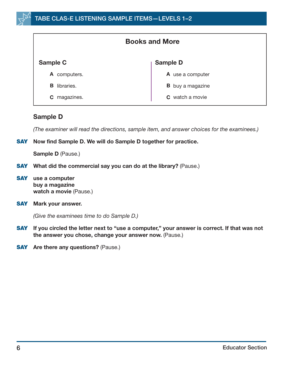| <b>Books and More</b> |                         |  |
|-----------------------|-------------------------|--|
| Sample C              | <b>Sample D</b>         |  |
| computers.<br>A       | A use a computer        |  |
| libraries.<br>B       | <b>B</b> buy a magazine |  |
| magazines.<br>C       | <b>C</b> watch a movie  |  |

#### **Sample D**

(The examiner will read the directions, sample item, and answer choices for the examinees.)

#### **SAY Now find Sample D. We will do Sample D together for practice.**

**Sample D** (Pause.)

- **SAY What did the commercial say you can do at the library?** (Pause.)
- **SAY use a computer buy a magazine watch a movie** (Pause.)
- **SAY Mark your answer.**

(Give the examinees time to do Sample D.)

- **SAY If you circled the letter next to "use a computer," your answer is correct. If that was not the answer you chose, change your answer now.** (Pause.)
- **SAY** Are there any questions? (Pause.)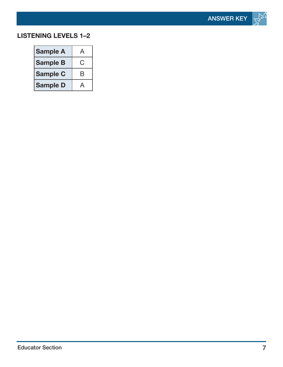

## **LISTENING LEVELS 1–2**

| <b>Sample A</b> | А |
|-----------------|---|
| <b>Sample B</b> | Ĝ |
| <b>Sample C</b> | B |
| <b>Sample D</b> |   |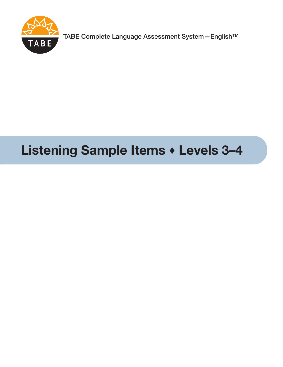

TABE Complete Language Assessment System—English™

## **Listening Sample Items Levels 3–4**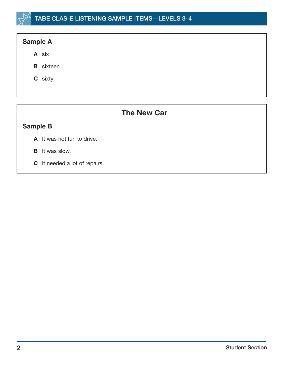## **Sample A**

- **A** six
- **B** sixteen
- **C** sixty

## **The New Car**

## **Sample B**

- **A** It was not fun to drive.
- **B** It was slow.
- **C** It needed a lot of repairs.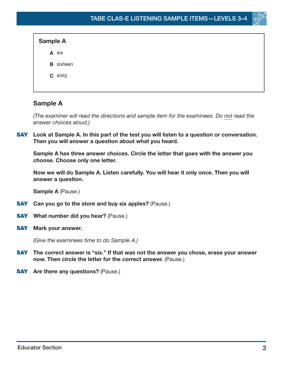| <b>Sample A</b>  |  |
|------------------|--|
| A six            |  |
| <b>B</b> sixteen |  |
| C sixty          |  |
|                  |  |

## **Sample A**

(The examiner will read the directions and sample item for the examinees. Do not read the answer choices aloud.)

**SAY Look at Sample A. In this part of the test you will listen to a question or conversation. Then you will answer a question about what you heard.**

**Sample A has three answer choices. Circle the letter that goes with the answer you choose. Choose only one letter.**

**Now we will do Sample A. Listen carefully. You will hear it only once. Then you will answer a question.**

**Sample A** (Pause.)

- **SAY Can you go to the store and buy six apples?** (Pause.)
- **SAY What number did you hear?** (Pause.)
- **SAY Mark your answer.**

(Give the examinees time to do Sample A.)

- **SAY** The correct answer is "six." If that was not the answer you chose, erase your answer **now. Then circle the letter for the correct answer.** (Pause.)
- **SAY Are there any questions?** (Pause.)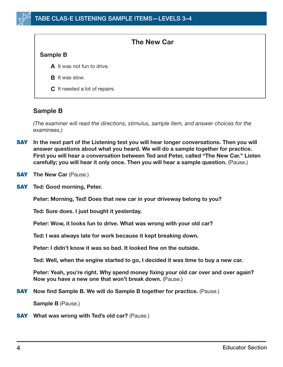#### **The New Car**

#### **Sample B**

- A It was not fun to drive.
- **B** It was slow.
- **C** It needed a lot of repairs.

## **Sample B**

(The examiner will read the directions, stimulus, sample item, and answer choices for the examinees.)

- **SAY In the next part of the Listening test you will hear longer conversations. Then you will answer questions about what you heard. We will do a sample together for practice. First you will hear a conversation between Ted and Peter, called "The New Car." Listen carefully; you will hear it only once. Then you will hear a sample question.** (Pause.)
- **SAY** The New Car (Pause.)
- **SAY Ted: Good morning, Peter.**

**Peter: Morning, Ted! Does that new car in your driveway belong to you?**

**Ted: Sure does. I just bought it yesterday.**

**Peter: Wow, it looks fun to drive. What was wrong with your old car?**

**Ted: I was always late for work because it kept breaking down.**

**Peter: I didn't know it was so bad. It looked fine on the outside.**

**Ted: Well, when the engine started to go, I decided it was time to buy a new car.**

**Peter: Yeah, you're right. Why spend money fixing your old car over and over again? Now you have a new one that won't break down.** (Pause.)

**SAY Now find Sample B. We will do Sample B together for practice.** (Pause.)

**Sample B** (Pause.)

**SAY What was wrong with Ted's old car?** (Pause.)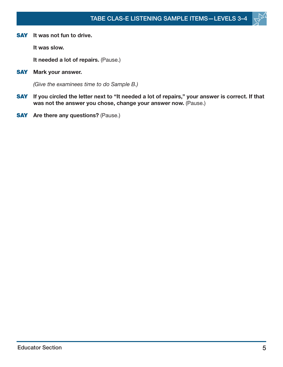

**It was slow.**

**It needed a lot of repairs.** (Pause.)

**SAY Mark your answer.**

(Give the examinees time to do Sample B.)

- **SAY If you circled the letter next to "It needed a lot of repairs," your answer is correct. If that was not the answer you chose, change your answer now.** (Pause.)
- **SAY** Are there any questions? (Pause.)